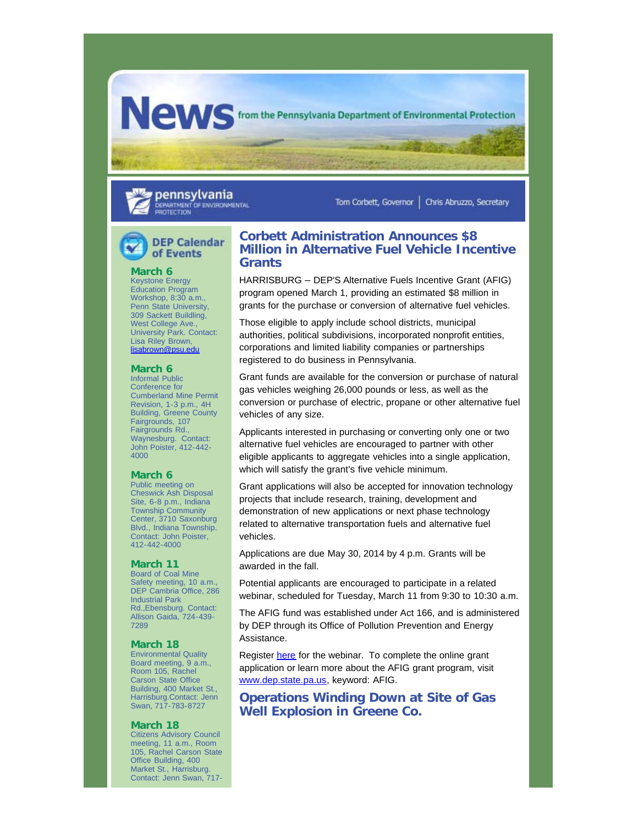**NOWS** from the Pennsylvania Department of Environmental Protection

pennsylvania DEPARTMENT OF ENVIRONMENTAL PROTECTION

Tom Corbett, Governor | Chris Abruzzo, Secretary

# **DEP Calendar** of Events

## **March 6**

Keystone Energy Education Program Workshop, 8:30 a.m., Penn State University, 309 Sackett Buildling, West College Ave. University Park. Contact: Lisa Riley Brown, [lisabrown@psu.edu](mailto:lisabrown@psu.edu%20[[/EC)

#### **March 6**

Informal Public Conference for Cumberland Mine Permit Revision, 1-3 p.m., 4H Building, Greene County Fairgrounds, 107 Fairgrounds Rd., Waynesburg. Contact: John Poister, 412-442- 4000

### **March 6**

Public meeting on Cheswick Ash Disposal Site, 6-8 p.m., Indiana Township Community Center, 3710 Saxonburg Blvd., Indiana Township. Contact: John Poister, 412-442-4000

## **March 11**

Board of Coal Mine Safety meeting, 10 a.m., DEP Cambria Office, 286 Industrial Park Rd.,Ebensburg. Contact: Allison Gaida, 724-439- 7289

#### **March 18**

Environmental Quality Board meeting, 9 a.m., Room 105, Rachel Carson State Office Building, 400 Market St., Harrisburg.Contact: Jenn Swan, 717-783-8727

#### **March 18**

Citizens Advisory Council meeting, 11 a.m., Room 105, Rachel Carson State Office Building, 400 Market St., Harrisburg. Contact: Jenn Swan, 717-

## **Corbett Administration Announces \$8 Million in Alternative Fuel Vehicle Incentive Grants**

HARRISBURG – DEP'S Alternative Fuels Incentive Grant (AFIG) program opened March 1, providing an estimated \$8 million in grants for the purchase or conversion of alternative fuel vehicles.

Those eligible to apply include school districts, municipal authorities, political subdivisions, incorporated nonprofit entities, corporations and limited liability companies or partnerships registered to do business in Pennsylvania.

Grant funds are available for the conversion or purchase of natural gas vehicles weighing 26,000 pounds or less, as well as the conversion or purchase of electric, propane or other alternative fuel vehicles of any size.

Applicants interested in purchasing or converting only one or two alternative fuel vehicles are encouraged to partner with other eligible applicants to aggregate vehicles into a single application, which will satisfy the grant's five vehicle minimum.

Grant applications will also be accepted for innovation technology projects that include research, training, development and demonstration of new applications or next phase technology related to alternative transportation fuels and alternative fuel vehicles.

Applications are due May 30, 2014 by 4 p.m. Grants will be awarded in the fall.

Potential applicants are encouraged to participate in a related webinar, scheduled for Tuesday, March 11 from 9:30 to 10:30 a.m.

The AFIG fund was established under Act 166, and is administered by DEP through its Office of Pollution Prevention and Energy Assistance.

Register [here](http://enews.state.pa.us/q/5OG1JiTwJOtuw1SQlAW2AAprDYdDwhgINHDX6YulKYWOVhDGR4DBlmS-1) for the webinar. To complete the online grant application or learn more about the AFIG grant program, visit [www.dep.state.pa.us,](http://enews.state.pa.us/q/8wlWJKb8dhcyuRhImkur64wQYeZB8UIFSNB83E6mxET8T9SGujiQmYp4R) keyword: AFIG.

**Operations Winding Down at Site of Gas Well Explosion in Greene Co.**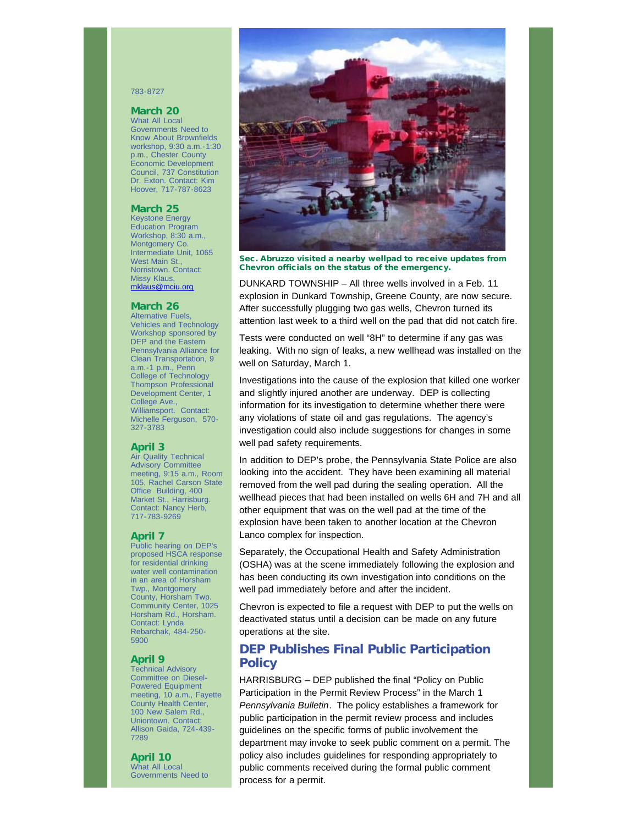### 783-8727

## **March 20**

What All Local Governments Need to Know About Brownfields workshop, 9:30 a.m.-1:30 p.m., Chester County Economic Development Council, 737 Constitution Dr. Exton. Contact: Kim Hoover, 717-787-8623

#### **March 25**

Keystone Energy Education Program Workshop, 8:30 a.m., Montgomery Co. Intermediate Unit, 1065 West Main St., Norristown. Contact: Missy Klaus, [mklaus@mciu.org](mailto:mklaus@mciu.org)

### **March 26**

Alternative Fuels, Vehicles and Technology Workshop sponsored by DEP and the Eastern Pennsylvania Alliance for Clean Transportation, 9 a.m.-1 p.m., Penn College of Technology Thompson Professional Development Center, 1 College Ave., Williamsport. Contact: Michelle Ferguson, 570- 327-3783

### **April 3**

Air Quality Technical Advisory Committee meeting, 9:15 a.m., Room 105, Rachel Carson State Office Building, 400 Market St., Harrisburg. Contact: Nancy Herb, 717-783-9269

#### **April 7**

Public hearing on DEP's proposed HSCA response for residential drinking water well contamination in an area of Horsham Twp., Montgomery County, Horsham Twp. Community Center, 1025 Horsham Rd., Horsham. Contact: Lynda Rebarchak, 484-250- 5900

### **April 9**

Technical Advisory Committee on Diesel-Powered Equipment meeting, 10 a.m., Fayette County Health Center, 100 New Salem Rd., Uniontown. Contact: Allison Gaida, 724-439- 7289

**April 10** What All Local Governments Need to



Sec. Abruzzo visited a nearby wellpad to receive updates from Chevron officials on the status of the emergency.

DUNKARD TOWNSHIP – All three wells involved in a Feb. 11 explosion in Dunkard Township, Greene County, are now secure. After successfully plugging two gas wells, Chevron turned its attention last week to a third well on the pad that did not catch fire.

Tests were conducted on well "8H" to determine if any gas was leaking. With no sign of leaks, a new wellhead was installed on the well on Saturday, March 1.

Investigations into the cause of the explosion that killed one worker and slightly injured another are underway. DEP is collecting information for its investigation to determine whether there were any violations of state oil and gas regulations. The agency's investigation could also include suggestions for changes in some well pad safety requirements.

In addition to DEP's probe, the Pennsylvania State Police are also looking into the accident. They have been examining all material removed from the well pad during the sealing operation. All the wellhead pieces that had been installed on wells 6H and 7H and all other equipment that was on the well pad at the time of the explosion have been taken to another location at the Chevron Lanco complex for inspection.

Separately, the Occupational Health and Safety Administration (OSHA) was at the scene immediately following the explosion and has been conducting its own investigation into conditions on the well pad immediately before and after the incident.

Chevron is expected to file a request with DEP to put the wells on deactivated status until a decision can be made on any future operations at the site.

# **DEP Publishes Final Public Participation Policy**

HARRISBURG – DEP published the final "Policy on Public Participation in the Permit Review Process" in the March 1 *Pennsylvania Bulletin*. The policy establishes a framework for public participation in the permit review process and includes guidelines on the specific forms of public involvement the department may invoke to seek public comment on a permit. The policy also includes guidelines for responding appropriately to public comments received during the formal public comment process for a permit.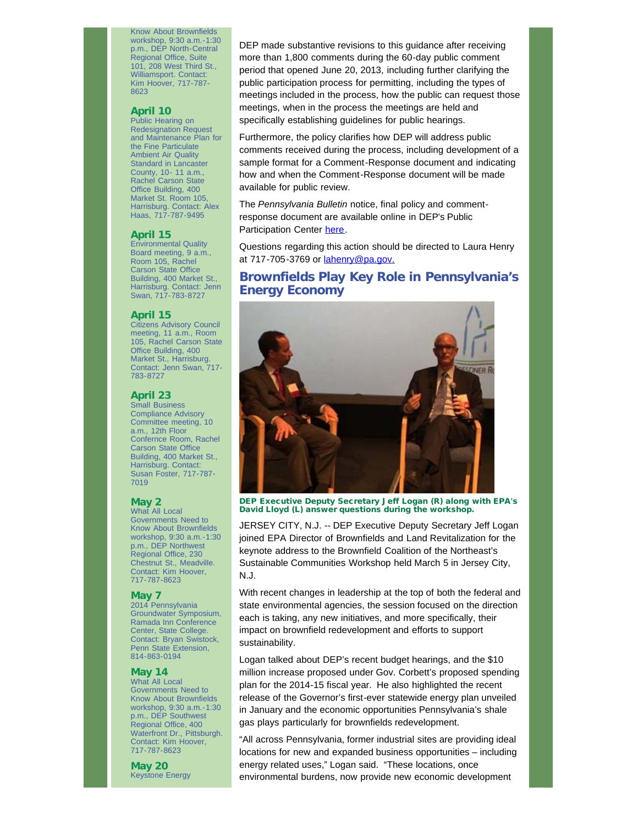Know About Brownfields workshop, 9:30 a.m.-1:30 p.m., DEP North-Central Regional Office, Suite 101, 208 West Third St., Williamsport. Contact: Kim Hoover, 717-787- 8623

#### **April 10**

Public Hearing on Redesignation Request and Maintenance Plan for the Fine Particulate Ambient Air Quality Standard in Lancaster County, 10- 11 a.m., Rachel Carson State Office Building, 400 Market St. Room 105, Harrisburg. Contact: Alex Haas, 717-787-9495

### **April 15**

Environmental Quality Board meeting, 9 a.m., Room 105, Rachel Carson State Office Building, 400 Market St., Harrisburg. Contact: Jenn Swan, 717-783-8727

### **April 15**

Citizens Advisory Council meeting, 11 a.m., Room 105, Rachel Carson State Office Building, 400 Market St., Harrisburg. Contact: Jenn Swan, 717- 783-8727

#### **April 23**

Small Business Compliance Advisory Committee meeting, 10 a.m., 12th Floor Confernce Room, Rachel Carson State Office Building, 400 Market St., Harrisburg. Contact: Susan Foster, 717-787- 7019

#### **May 2**

What All Local Governments Need to Know About Brownfields workshop, 9:30 a.m.-1:30 p.m., DEP Northwest Regional Office, 230 Chestnut St., Meadville. Contact: Kim Hoover, 717-787-8623

## **May 7**

2014 Pennsylvania Groundwater Symposium, Ramada Inn Conference Center, State College. Contact: Bryan Swistock, Penn State Extension, 814-863-0194

#### **May 14**

What All Local Governments Need to Know About Brownfields workshop, 9:30 a.m.-1:30 p.m., DEP Southwest Regional Office, 400 Waterfront Dr., Pittsburgh. Contact: Kim Hoover, 717-787-8623

**May 20** Keystone Energy

DEP made substantive revisions to this guidance after receiving more than 1,800 comments during the 60-day public comment period that opened June 20, 2013, including further clarifying the public participation process for permitting, including the types of meetings included in the process, how the public can request those meetings, when in the process the meetings are held and specifically establishing guidelines for public hearings.

Furthermore, the policy clarifies how DEP will address public comments received during the process, including development of a sample format for a Comment-Response document and indicating how and when the Comment-Response document will be made available for public review.

The *Pennsylvania Bulletin* notice, final policy and commentresponse document are available online in DEP's Public Participation Center [here](http://enews.state.pa.us/q/TXp4YzwPDs-LPcBfi5j06X-lsJR8P3WEZJ8bQ7ciM70hGltGCOfaiE9mc).

Questions regarding this action should be directed to Laura Henry at 717-705-3769 or **lahenry@pa.gov.** 

## **Brownfields Play Key Role in Pennsylvania's Energy Economy**



DEP Executive Deputy Secretary Jeff Logan (R) along with EPA's David Lloyd (L) answer questions during the workshop.

JERSEY CITY, N.J. -- DEP Executive Deputy Secretary Jeff Logan joined EPA Director of Brownfields and Land Revitalization for the keynote address to the Brownfield Coalition of the Northeast's Sustainable Communities Workshop held March 5 in Jersey City, N.J.

With recent changes in leadership at the top of both the federal and state environmental agencies, the session focused on the direction each is taking, any new initiatives, and more specifically, their impact on brownfield redevelopment and efforts to support sustainability.

Logan talked about DEP's recent budget hearings, and the \$10 million increase proposed under Gov. Corbett's proposed spending plan for the 2014-15 fiscal year. He also highlighted the recent release of the Governor's first-ever statewide energy plan unveiled in January and the economic opportunities Pennsylvania's shale gas plays particularly for brownfields redevelopment.

"All across Pennsylvania, former industrial sites are providing ideal locations for new and expanded business opportunities – including energy related uses," Logan said. "These locations, once environmental burdens, now provide new economic development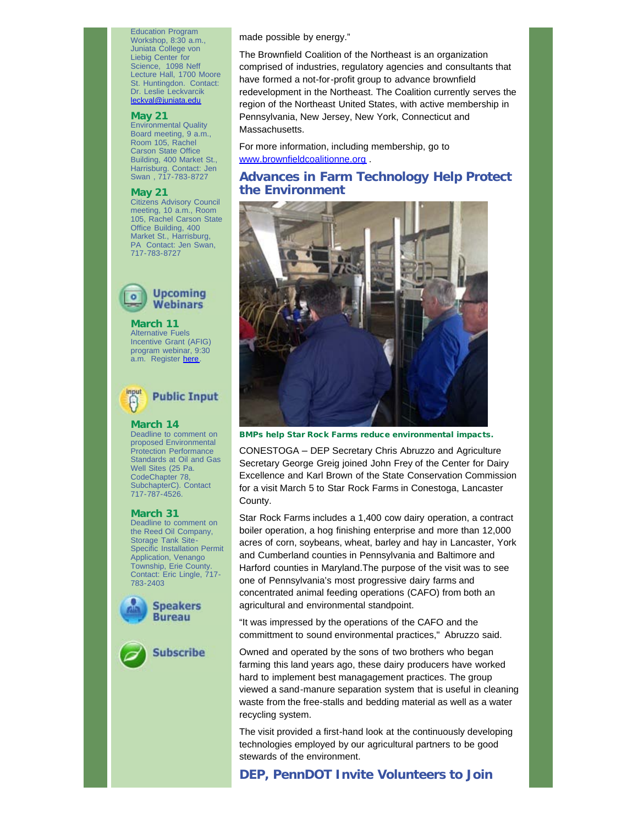Education Program Workshop, 8:30 a.m., Juniata College von Liebig Center for Science, 1098 Neff Lecture Hall, 1700 Moore St. Huntingdon. Contact: Dr. Leslie Leckvarcik [leckval@juniata.edu](mailto:leckval@juniata.edu)

### **May 21**

Environmental Quality Board meeting, 9 a.m., Room 105, Rachel Carson State Office Building, 400 Market St., Harrisburg. Contact: Jen Swan , 717-783-8727

## **May 21**

Citizens Advisory Council meeting, 10 a.m., Room 105, Rachel Carson State Office Building, 400 Market St., Harrisburg, PA Contact: Jen Swan, 717-783-8727



**March 11** Alternative Fuels Incentive Grant (AFIG) program webinar, 9:30 a.m. Register [here.](http://enews.state.pa.us/q/0yJTaVKXqBcg2VnhK_04S70FyWk9X_o-jd9-1MnKYM4TleXGuh9AKTGUV)



**March 14** Deadline to comment on proposed Environmental Protection Performance Standards at Oil and Gas Well Sites (25 Pa. CodeChapter 78, SubchapterC). Contact 717-787-4526.

#### **March 31**

Deadline to comment on the Reed Oil Company, Storage Tank Site-Specific Installation Permit Application, Venango Township, Erie County. Contact: Eric Lingle, 717-783-2403





made possible by energy."

The Brownfield Coalition of the Northeast is an organization comprised of industries, regulatory agencies and consultants that have formed a not-for-profit group to advance brownfield redevelopment in the Northeast. The Coalition currently serves the region of the Northeast United States, with active membership in Pennsylvania, New Jersey, New York, Connecticut and Massachusetts.

For more information, including membership, go to [www.brownfieldcoalitionne.org](http://enews.state.pa.us/q/fSESOwzyvQtqJKaR39gI3TBZ1DdPy1BGihPAvO03eO5glETGg58R3A2wK) .

## **Advances in Farm Technology Help Protect the Environment**



BMPs help Star Rock Farms reduce environmental impacts.

CONESTOGA – DEP Secretary Chris Abruzzo and Agriculture Secretary George Greig joined John Frey of the Center for Dairy Excellence and Karl Brown of the State Conservation Commission for a visit March 5 to Star Rock Farms in Conestoga, Lancaster County.

Star Rock Farms includes a 1,400 cow dairy operation, a contract boiler operation, a hog finishing enterprise and more than 12,000 acres of corn, soybeans, wheat, barley and hay in Lancaster, York and Cumberland counties in Pennsylvania and Baltimore and Harford counties in Maryland.The purpose of the visit was to see one of Pennsylvania's most progressive dairy farms and concentrated animal feeding operations (CAFO) from both an agricultural and environmental standpoint.

"It was impressed by the operations of the CAFO and the committment to sound environmental practices," Abruzzo said.

Owned and operated by the sons of two brothers who began farming this land years ago, these dairy producers have worked hard to implement best managagement practices. The group viewed a sand-manure separation system that is useful in cleaning waste from the free-stalls and bedding material as well as a water recycling system.

The visit provided a first-hand look at the continuously developing technologies employed by our agricultural partners to be good stewards of the environment.

## **DEP, PennDOT Invite Volunteers to Join**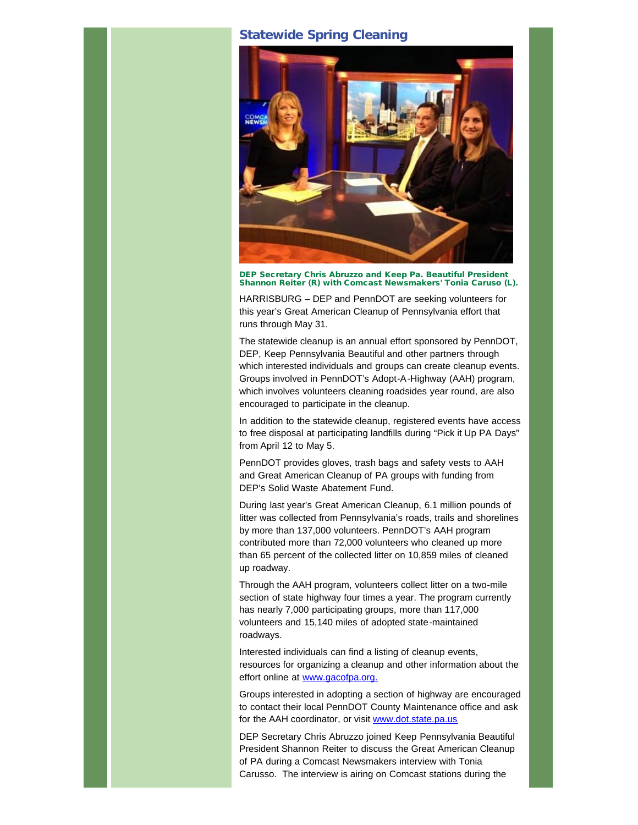# **Statewide Spring Cleaning**



DEP Secretary Chris Abruzzo and Keep Pa. Beautiful President Shannon Reiter (R) with Comcast Newsmakers' Tonia Caruso (L).

HARRISBURG – DEP and PennDOT are seeking volunteers for this year's Great American Cleanup of Pennsylvania effort that runs through May 31.

The statewide cleanup is an annual effort sponsored by PennDOT, DEP, Keep Pennsylvania Beautiful and other partners through which interested individuals and groups can create cleanup events. Groups involved in PennDOT's Adopt-A-Highway (AAH) program, which involves volunteers cleaning roadsides year round, are also encouraged to participate in the cleanup.

In addition to the statewide cleanup, registered events have access to free disposal at participating landfills during "Pick it Up PA Days" from April 12 to May 5.

PennDOT provides gloves, trash bags and safety vests to AAH and Great American Cleanup of PA groups with funding from DEP's Solid Waste Abatement Fund.

During last year's Great American Cleanup, 6.1 million pounds of litter was collected from Pennsylvania's roads, trails and shorelines by more than 137,000 volunteers. PennDOT's AAH program contributed more than 72,000 volunteers who cleaned up more than 65 percent of the collected litter on 10,859 miles of cleaned up roadway.

Through the AAH program, volunteers collect litter on a two-mile section of state highway four times a year. The program currently has nearly 7,000 participating groups, more than 117,000 volunteers and 15,140 miles of adopted state-maintained roadways.

Interested individuals can find a listing of cleanup events, resources for organizing a cleanup and other information about the effort online at [www.gacofpa.org.](http://enews.state.pa.us/q/dVyg2J3CUIIJC2DGXkxA31WWVHlWCQ1LK4WW3VPX6VZtabyGxt62Xp_O2)

Groups interested in adopting a section of highway are encouraged to contact their local PennDOT County Maintenance office and ask for the AAH coordinator, or visit [www.dot.state.pa.us](http://enews.state.pa.us/q/hJMgS6I4ynIg4pzAEaovIuFdsdip4tuusypxlTSE_TwwF9bGaRaUEeXZp)

DEP Secretary Chris Abruzzo joined Keep Pennsylvania Beautiful President Shannon Reiter to discuss the Great American Cleanup of PA during a Comcast Newsmakers interview with Tonia Carusso. The interview is airing on Comcast stations during the